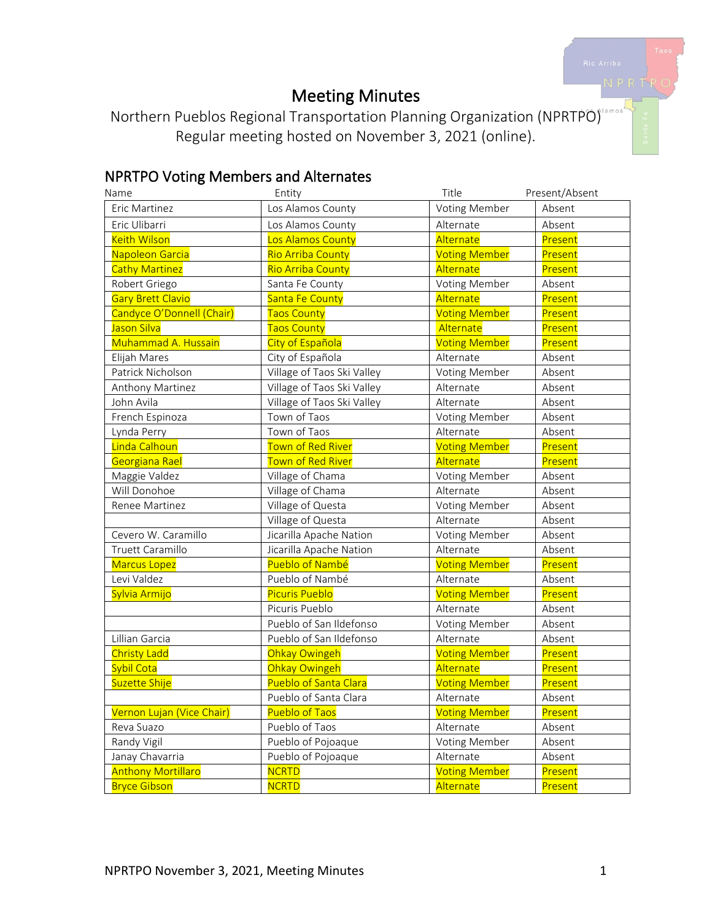# Meeting Minutes

Northern Pueblos Regional Transportation Planning Organization (NPRTPO) Regular meeting hosted on November 3, 2021 (online).

# NPRTPO Voting Members and Alternates

| Name                      | Entity                     | Title                | Present/Absent |
|---------------------------|----------------------------|----------------------|----------------|
| Eric Martinez             | Los Alamos County          | Voting Member        | Absent         |
| Eric Ulibarri             | Los Alamos County          | Absent<br>Alternate  |                |
| <b>Keith Wilson</b>       | Los Alamos County          | Alternate            | Present        |
| Napoleon Garcia           | Rio Arriba County          | <b>Voting Member</b> | Present        |
| <b>Cathy Martinez</b>     | <b>Rio Arriba County</b>   | Alternate            | Present        |
| Robert Griego             | Santa Fe County            | Voting Member        | Absent         |
| <b>Gary Brett Clavio</b>  | Santa Fe County            | Alternate            | Present        |
| Candyce O'Donnell (Chair) | <b>Taos County</b>         | <b>Voting Member</b> | Present        |
| Jason Silva               | <b>Taos County</b>         | Alternate            | Present        |
| Muhammad A. Hussain       | City of Española           | <b>Voting Member</b> | Present        |
| Elijah Mares              | City of Española           | Alternate            | Absent         |
| Patrick Nicholson         | Village of Taos Ski Valley | Voting Member        | Absent         |
| Anthony Martinez          | Village of Taos Ski Valley | Alternate            | Absent         |
| John Avila                | Village of Taos Ski Valley | Alternate            | Absent         |
| French Espinoza           | Town of Taos               | Voting Member        | Absent         |
| Lynda Perry               | Town of Taos               | Alternate            | Absent         |
| Linda Calhoun             | Town of Red River          | <b>Voting Member</b> | Present        |
| Georgiana Rael            | <b>Town of Red River</b>   | Alternate            | Present        |
| Maggie Valdez             | Village of Chama           | Voting Member        | Absent         |
| Will Donohoe              | Village of Chama           | Alternate            | Absent         |
| Renee Martinez            | Village of Questa          | Voting Member        | Absent         |
|                           | Village of Questa          | Alternate            | Absent         |
| Cevero W. Caramillo       | Jicarilla Apache Nation    | Voting Member        | Absent         |
| Truett Caramillo          | Jicarilla Apache Nation    | Alternate            | Absent         |
| <b>Marcus Lopez</b>       | Pueblo of Nambé            | <b>Voting Member</b> | Present        |
| Levi Valdez               | Pueblo of Nambé            | Alternate            | Absent         |
| Sylvia Armijo             | <b>Picuris Pueblo</b>      | <b>Voting Member</b> | Present        |
|                           | Picuris Pueblo             | Alternate            | Absent         |
|                           | Pueblo of San Ildefonso    | Voting Member        | Absent         |
| Lillian Garcia            | Pueblo of San Ildefonso    | Alternate            | Absent         |
| <b>Christy Ladd</b>       | Ohkay Owingeh              | <b>Voting Member</b> | Present        |
| <b>Sybil Cota</b>         | Ohkay Owingeh              | Alternate            | Present        |
| Suzette Shije             | Pueblo of Santa Clara      | <b>Voting Member</b> | Present        |
|                           | Pueblo of Santa Clara      | Alternate            | Absent         |
| Vernon Lujan (Vice Chair) | <b>Pueblo of Taos</b>      | <b>Voting Member</b> | Present        |
| Reva Suazo                | Pueblo of Taos             | Alternate            | Absent         |
| Randy Vigil               | Pueblo of Pojoaque         | Voting Member        | Absent         |
| Janay Chavarria           | Pueblo of Pojoaque         | Alternate            | Absent         |
| <b>Anthony Mortillaro</b> | <b>NCRTD</b>               | <b>Voting Member</b> | Present        |
| <b>Bryce Gibson</b>       | <b>NCRTD</b>               | Alternate            | Present        |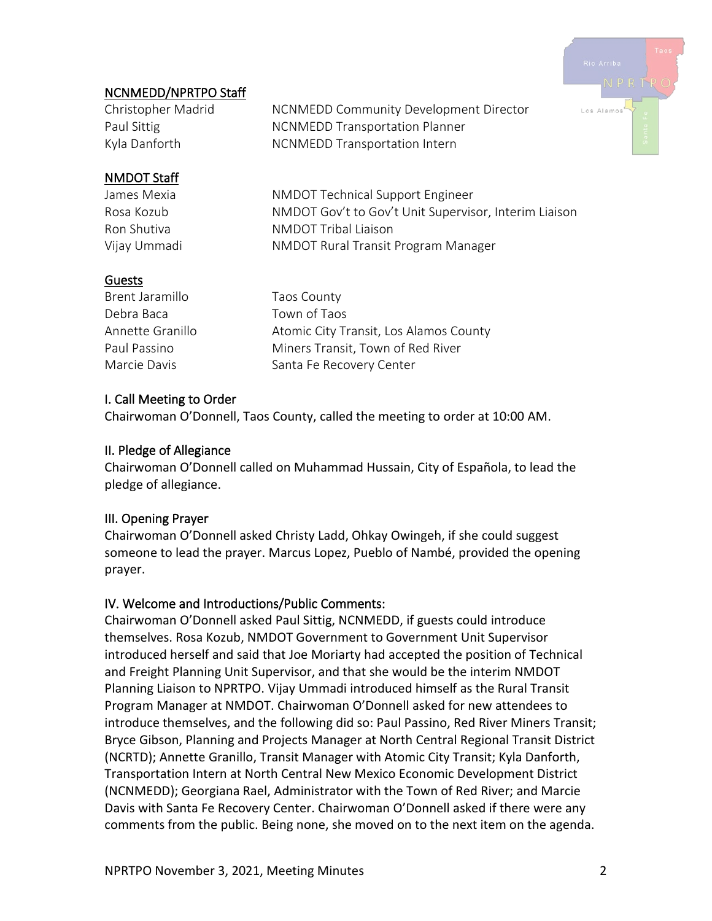

# NCNMEDD/NPRTPO Staff

Christopher Madrid MCNMEDD Community Development Director Paul Sittig **NUMEDD** Transportation Planner Kyla Danforth NCNMEDD Transportation Intern

#### NMDOT Staff

James Mexia National NMDOT Technical Support Engineer Rosa Kozub NMDOT Gov't to Gov't Unit Supervisor, Interim Liaison Ron Shutiva NMDOT Tribal Liaison Vijay Ummadi NMDOT Rural Transit Program Manager

#### **Guests**

Brent Jaramillo Taos County Debra Baca Town of Taos Annette Granillo **Atomic City Transit, Los Alamos County** Paul Passino **Miners Transit, Town of Red River** Marcie Davis Santa Fe Recovery Center

#### I. Call Meeting to Order

Chairwoman O'Donnell, Taos County, called the meeting to order at 10:00 AM.

#### II. Pledge of Allegiance

Chairwoman O'Donnell called on Muhammad Hussain, City of Española, to lead the pledge of allegiance.

#### III. Opening Prayer

Chairwoman O'Donnell asked Christy Ladd, Ohkay Owingeh, if she could suggest someone to lead the prayer. Marcus Lopez, Pueblo of Nambé, provided the opening prayer.

#### IV. Welcome and Introductions/Public Comments:

Chairwoman O'Donnell asked Paul Sittig, NCNMEDD, if guests could introduce themselves. Rosa Kozub, NMDOT Government to Government Unit Supervisor introduced herself and said that Joe Moriarty had accepted the position of Technical and Freight Planning Unit Supervisor, and that she would be the interim NMDOT Planning Liaison to NPRTPO. Vijay Ummadi introduced himself as the Rural Transit Program Manager at NMDOT. Chairwoman O'Donnell asked for new attendees to introduce themselves, and the following did so: Paul Passino, Red River Miners Transit; Bryce Gibson, Planning and Projects Manager at North Central Regional Transit District (NCRTD); Annette Granillo, Transit Manager with Atomic City Transit; Kyla Danforth, Transportation Intern at North Central New Mexico Economic Development District (NCNMEDD); Georgiana Rael, Administrator with the Town of Red River; and Marcie Davis with Santa Fe Recovery Center. Chairwoman O'Donnell asked if there were any comments from the public. Being none, she moved on to the next item on the agenda.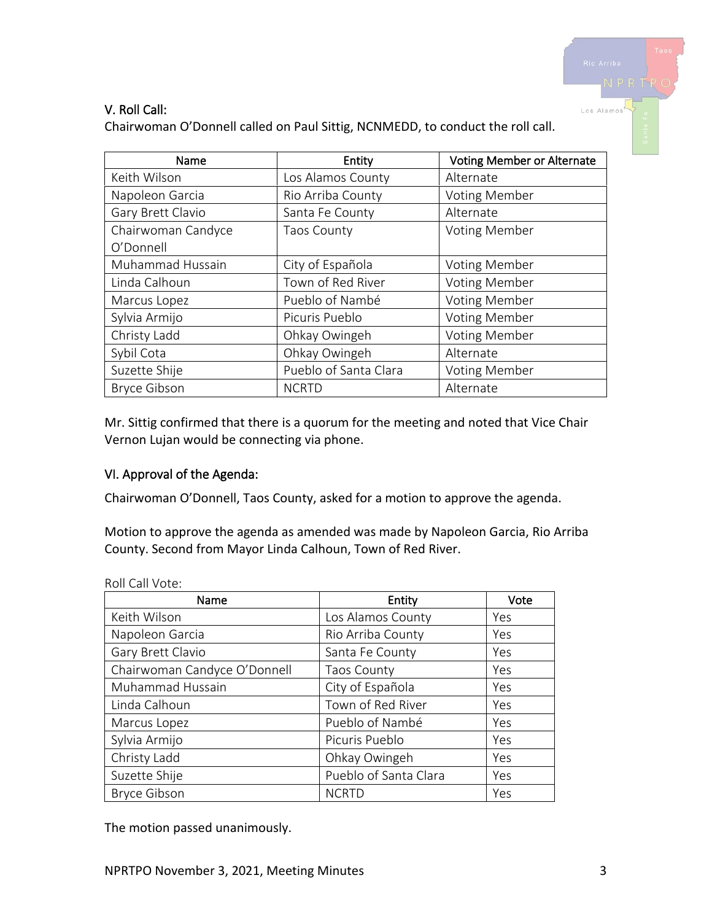

## V. Roll Call:

Chairwoman O'Donnell called on Paul Sittig, NCNMEDD, to conduct the roll call.

| Name                | Entity                | <b>Voting Member or Alternate</b> |
|---------------------|-----------------------|-----------------------------------|
| Keith Wilson        | Los Alamos County     | Alternate                         |
| Napoleon Garcia     | Rio Arriba County     | <b>Voting Member</b>              |
| Gary Brett Clavio   | Santa Fe County       | Alternate                         |
| Chairwoman Candyce  | <b>Taos County</b>    | <b>Voting Member</b>              |
| O'Donnell           |                       |                                   |
| Muhammad Hussain    | City of Española      | <b>Voting Member</b>              |
| Linda Calhoun       | Town of Red River     | <b>Voting Member</b>              |
| Marcus Lopez        | Pueblo of Nambé       | <b>Voting Member</b>              |
| Sylvia Armijo       | Picuris Pueblo        | <b>Voting Member</b>              |
| Christy Ladd        | Ohkay Owingeh         | <b>Voting Member</b>              |
| Sybil Cota          | Ohkay Owingeh         | Alternate                         |
| Suzette Shije       | Pueblo of Santa Clara | <b>Voting Member</b>              |
| <b>Bryce Gibson</b> | <b>NCRTD</b>          | Alternate                         |

Mr. Sittig confirmed that there is a quorum for the meeting and noted that Vice Chair Vernon Lujan would be connecting via phone.

#### VI. Approval of the Agenda:

Chairwoman O'Donnell, Taos County, asked for a motion to approve the agenda.

Motion to approve the agenda as amended was made by Napoleon Garcia, Rio Arriba County. Second from Mayor Linda Calhoun, Town of Red River.

| Name                         | Entity                | Vote |
|------------------------------|-----------------------|------|
| Keith Wilson                 | Los Alamos County     | Yes  |
| Napoleon Garcia              | Rio Arriba County     | Yes  |
| Gary Brett Clavio            | Santa Fe County       | Yes  |
| Chairwoman Candyce O'Donnell | <b>Taos County</b>    | Yes  |
| Muhammad Hussain             | City of Española      | Yes  |
| Linda Calhoun                | Town of Red River     | Yes  |
| Marcus Lopez                 | Pueblo of Nambé       | Yes  |
| Sylvia Armijo                | Picuris Pueblo        | Yes  |
| Christy Ladd                 | Ohkay Owingeh         | Yes  |
| Suzette Shije                | Pueblo of Santa Clara | Yes  |
| <b>Bryce Gibson</b>          | <b>NCRTD</b>          | Yes  |

Roll Call Vote:

The motion passed unanimously.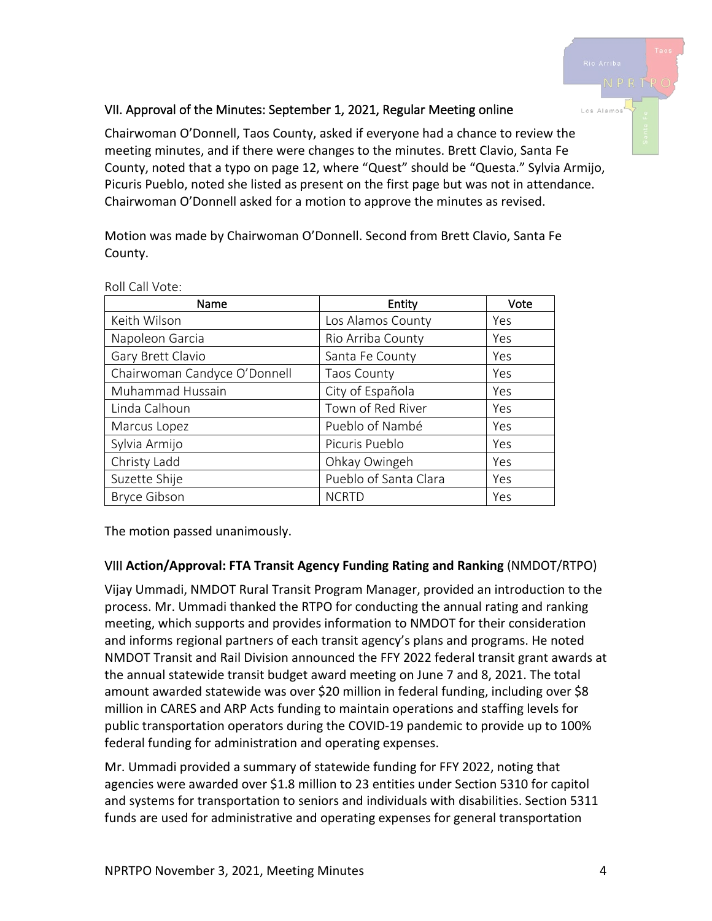# Los Alamo

# VII. Approval of the Minutes: September 1, 2021, Regular Meeting online

Chairwoman O'Donnell, Taos County, asked if everyone had a chance to review the meeting minutes, and if there were changes to the minutes. Brett Clavio, Santa Fe County, noted that a typo on page 12, where "Quest" should be "Questa." Sylvia Armijo, Picuris Pueblo, noted she listed as present on the first page but was not in attendance. Chairwoman O'Donnell asked for a motion to approve the minutes as revised.

Motion was made by Chairwoman O'Donnell. Second from Brett Clavio, Santa Fe County.

| Name                         | Entity                | Vote |
|------------------------------|-----------------------|------|
| Keith Wilson                 | Los Alamos County     | Yes  |
| Napoleon Garcia              | Rio Arriba County     | Yes  |
| Gary Brett Clavio            | Santa Fe County       | Yes  |
| Chairwoman Candyce O'Donnell | <b>Taos County</b>    | Yes  |
| Muhammad Hussain             | City of Española      | Yes  |
| Linda Calhoun                | Town of Red River     | Yes  |
| Marcus Lopez                 | Pueblo of Nambé       | Yes  |
| Sylvia Armijo                | Picuris Pueblo        | Yes  |
| Christy Ladd                 | Ohkay Owingeh         | Yes  |
| Suzette Shije                | Pueblo of Santa Clara | Yes  |
| <b>Bryce Gibson</b>          | <b>NCRTD</b>          | Yes  |

Roll Call Vote:

The motion passed unanimously.

#### VIII **Action/Approval: FTA Transit Agency Funding Rating and Ranking** (NMDOT/RTPO)

Vijay Ummadi, NMDOT Rural Transit Program Manager, provided an introduction to the process. Mr. Ummadi thanked the RTPO for conducting the annual rating and ranking meeting, which supports and provides information to NMDOT for their consideration and informs regional partners of each transit agency's plans and programs. He noted NMDOT Transit and Rail Division announced the FFY 2022 federal transit grant awards at the annual statewide transit budget award meeting on June 7 and 8, 2021. The total amount awarded statewide was over \$20 million in federal funding, including over \$8 million in CARES and ARP Acts funding to maintain operations and staffing levels for public transportation operators during the COVID-19 pandemic to provide up to 100% federal funding for administration and operating expenses.

Mr. Ummadi provided a summary of statewide funding for FFY 2022, noting that agencies were awarded over \$1.8 million to 23 entities under Section 5310 for capitol and systems for transportation to seniors and individuals with disabilities. Section 5311 funds are used for administrative and operating expenses for general transportation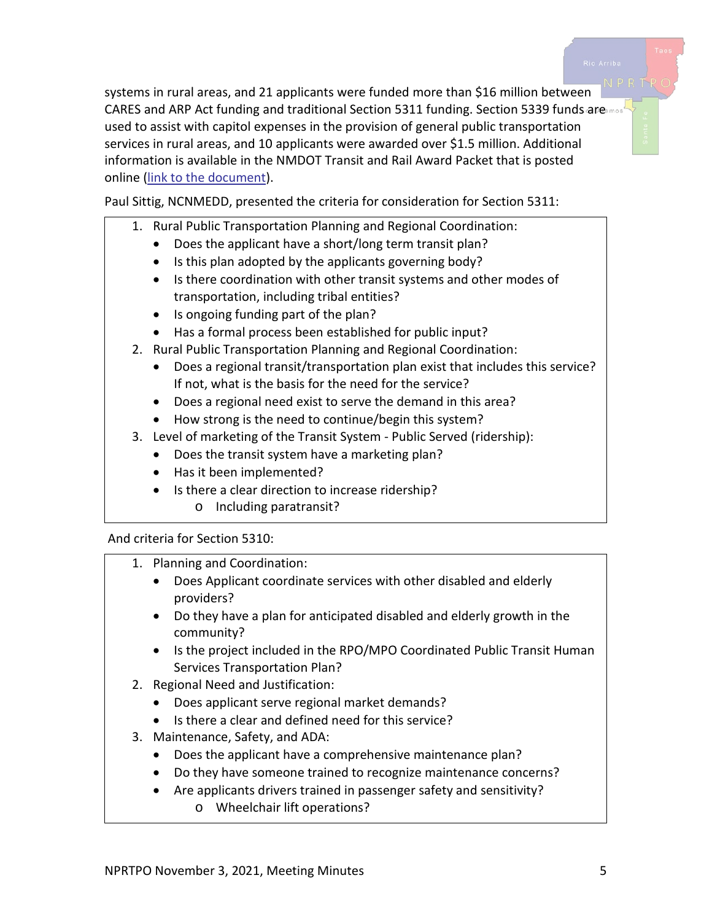systems in rural areas, and 21 applicants were funded more than \$16 million between CARES and ARP Act funding and traditional Section 5311 funding. Section 5339 funds are used to assist with capitol expenses in the provision of general public transportation services in rural areas, and 10 applicants were awarded over \$1.5 million. Additional information is available in the NMDOT Transit and Rail Award Packet that is posted online [\(link to the document\)](https://www.dot.nm.gov/planning-research-multimodal-and-safety/modal/transit-rail/transit-bureau/).

Paul Sittig, NCNMEDD, presented the criteria for consideration for Section 5311:

- 1. Rural Public Transportation Planning and Regional Coordination:
	- Does the applicant have a short/long term transit plan?
	- Is this plan adopted by the applicants governing body?
	- Is there coordination with other transit systems and other modes of transportation, including tribal entities?
	- Is ongoing funding part of the plan?
	- Has a formal process been established for public input?
- 2. Rural Public Transportation Planning and Regional Coordination:
	- Does a regional transit/transportation plan exist that includes this service? If not, what is the basis for the need for the service?
	- Does a regional need exist to serve the demand in this area?
	- How strong is the need to continue/begin this system?
- 3. Level of marketing of the Transit System Public Served (ridership):
	- Does the transit system have a marketing plan?
	- Has it been implemented?
	- Is there a clear direction to increase ridership?
		- o Including paratransit?

And criteria for Section 5310:

- 1. Planning and Coordination:
	- Does Applicant coordinate services with other disabled and elderly providers?
	- Do they have a plan for anticipated disabled and elderly growth in the community?
	- Is the project included in the RPO/MPO Coordinated Public Transit Human Services Transportation Plan?
- 2. Regional Need and Justification:
	- Does applicant serve regional market demands?
	- Is there a clear and defined need for this service?
- 3. Maintenance, Safety, and ADA:
	- Does the applicant have a comprehensive maintenance plan?
	- Do they have someone trained to recognize maintenance concerns?
	- Are applicants drivers trained in passenger safety and sensitivity?
		- o Wheelchair lift operations?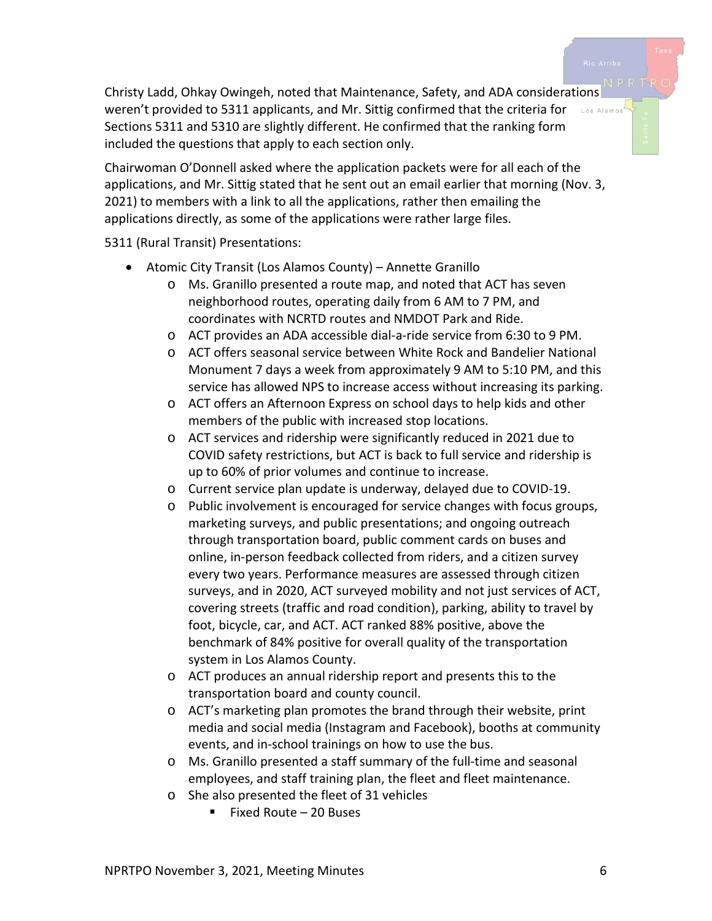Christy Ladd, Ohkay Owingeh, noted that Maintenance, Safety, and ADA considerations weren't provided to 5311 applicants, and Mr. Sittig confirmed that the criteria for Los Alamos Sections 5311 and 5310 are slightly different. He confirmed that the ranking form included the questions that apply to each section only.

Chairwoman O'Donnell asked where the application packets were for all each of the applications, and Mr. Sittig stated that he sent out an email earlier that morning (Nov. 3, 2021) to members with a link to all the applications, rather then emailing the applications directly, as some of the applications were rather large files.

5311 (Rural Transit) Presentations:

- Atomic City Transit (Los Alamos County) Annette Granillo
	- o Ms. Granillo presented a route map, and noted that ACT has seven neighborhood routes, operating daily from 6 AM to 7 PM, and coordinates with NCRTD routes and NMDOT Park and Ride.
	- o ACT provides an ADA accessible dial-a-ride service from 6:30 to 9 PM.
	- o ACT offers seasonal service between White Rock and Bandelier National Monument 7 days a week from approximately 9 AM to 5:10 PM, and this service has allowed NPS to increase access without increasing its parking.
	- o ACT offers an Afternoon Express on school days to help kids and other members of the public with increased stop locations.
	- o ACT services and ridership were significantly reduced in 2021 due to COVID safety restrictions, but ACT is back to full service and ridership is up to 60% of prior volumes and continue to increase.
	- o Current service plan update is underway, delayed due to COVID-19.
	- o Public involvement is encouraged for service changes with focus groups, marketing surveys, and public presentations; and ongoing outreach through transportation board, public comment cards on buses and online, in-person feedback collected from riders, and a citizen survey every two years. Performance measures are assessed through citizen surveys, and in 2020, ACT surveyed mobility and not just services of ACT, covering streets (traffic and road condition), parking, ability to travel by foot, bicycle, car, and ACT. ACT ranked 88% positive, above the benchmark of 84% positive for overall quality of the transportation system in Los Alamos County.
	- o ACT produces an annual ridership report and presents this to the transportation board and county council.
	- o ACT's marketing plan promotes the brand through their website, print media and social media (Instagram and Facebook), booths at community events, and in-school trainings on how to use the bus.
	- o Ms. Granillo presented a staff summary of the full-time and seasonal employees, and staff training plan, the fleet and fleet maintenance.
	- o She also presented the fleet of 31 vehicles
		- Fixed Route 20 Buses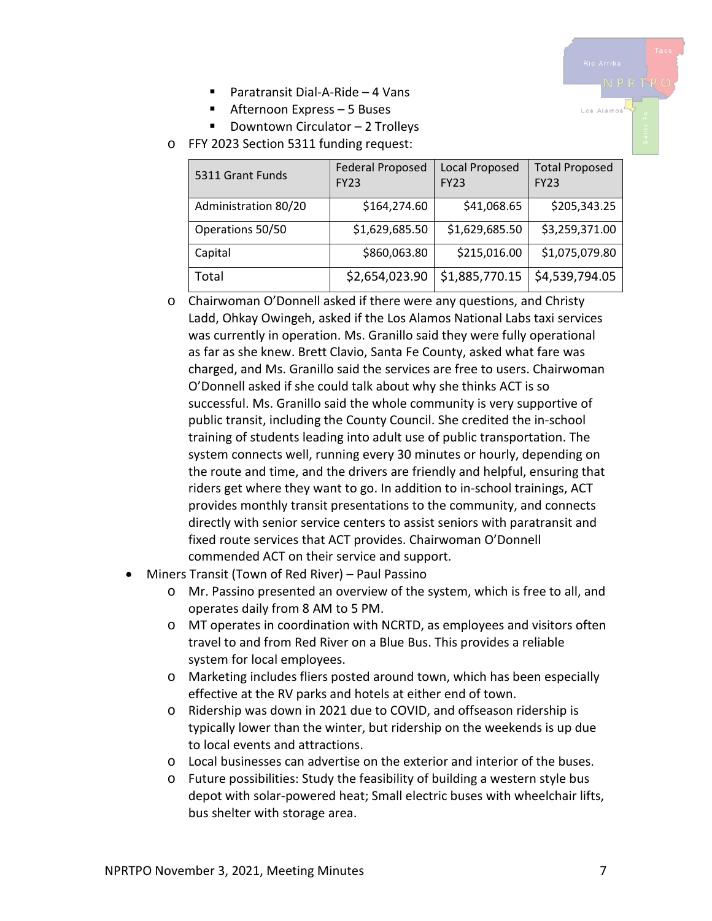Los Alamo

- Paratransit Dial-A-Ride 4 Vans
- Afternoon Express 5 Buses
- Downtown Circulator  $-2$  Trolleys
- o FFY 2023 Section 5311 funding request:

| 5311 Grant Funds     | <b>Federal Proposed</b><br><b>FY23</b> | Local Proposed<br><b>FY23</b> | <b>Total Proposed</b><br><b>FY23</b> |
|----------------------|----------------------------------------|-------------------------------|--------------------------------------|
| Administration 80/20 | \$164,274.60                           | \$41,068.65                   | \$205,343.25                         |
| Operations 50/50     | \$1,629,685.50                         | \$1,629,685.50                | \$3,259,371.00                       |
| Capital              | \$860,063.80                           | \$215,016.00                  | \$1,075,079.80                       |
| Total                | \$2,654,023.90                         | \$1,885,770.15                | \$4,539,794.05                       |

- o Chairwoman O'Donnell asked if there were any questions, and Christy Ladd, Ohkay Owingeh, asked if the Los Alamos National Labs taxi services was currently in operation. Ms. Granillo said they were fully operational as far as she knew. Brett Clavio, Santa Fe County, asked what fare was charged, and Ms. Granillo said the services are free to users. Chairwoman O'Donnell asked if she could talk about why she thinks ACT is so successful. Ms. Granillo said the whole community is very supportive of public transit, including the County Council. She credited the in-school training of students leading into adult use of public transportation. The system connects well, running every 30 minutes or hourly, depending on the route and time, and the drivers are friendly and helpful, ensuring that riders get where they want to go. In addition to in-school trainings, ACT provides monthly transit presentations to the community, and connects directly with senior service centers to assist seniors with paratransit and fixed route services that ACT provides. Chairwoman O'Donnell commended ACT on their service and support.
- Miners Transit (Town of Red River) Paul Passino
	- o Mr. Passino presented an overview of the system, which is free to all, and operates daily from 8 AM to 5 PM.
	- o MT operates in coordination with NCRTD, as employees and visitors often travel to and from Red River on a Blue Bus. This provides a reliable system for local employees.
	- o Marketing includes fliers posted around town, which has been especially effective at the RV parks and hotels at either end of town.
	- o Ridership was down in 2021 due to COVID, and offseason ridership is typically lower than the winter, but ridership on the weekends is up due to local events and attractions.
	- o Local businesses can advertise on the exterior and interior of the buses.
	- o Future possibilities: Study the feasibility of building a western style bus depot with solar-powered heat; Small electric buses with wheelchair lifts, bus shelter with storage area.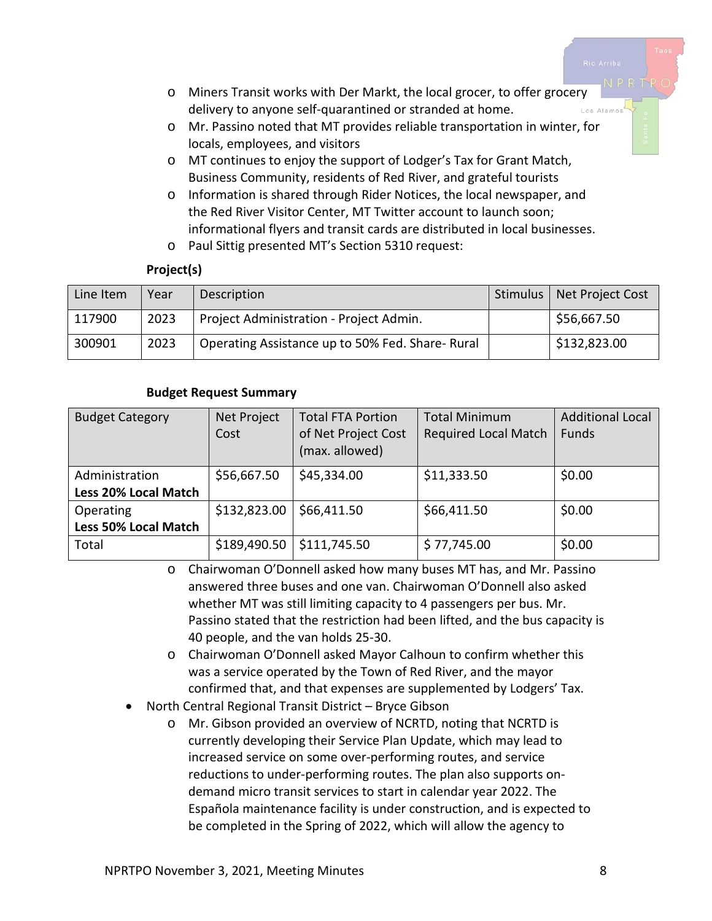- o Miners Transit works with Der Markt, the local grocer, to offer grocery delivery to anyone self-quarantined or stranded at home. Los Alamo
- o Mr. Passino noted that MT provides reliable transportation in winter, for locals, employees, and visitors
- o MT continues to enjoy the support of Lodger's Tax for Grant Match, Business Community, residents of Red River, and grateful tourists
- o Information is shared through Rider Notices, the local newspaper, and the Red River Visitor Center, MT Twitter account to launch soon; informational flyers and transit cards are distributed in local businesses.
- o Paul Sittig presented MT's Section 5310 request:

#### **Project(s)**

| Line Item | Year | Description                                     | Stimulus   Net Project Cost |
|-----------|------|-------------------------------------------------|-----------------------------|
| 117900    | 2023 | Project Administration - Project Admin.         | \$56,667.50                 |
| 300901    | 2023 | Operating Assistance up to 50% Fed. Share-Rural | \$132,823.00                |

#### **Budget Request Summary**

| <b>Budget Category</b>      | Net Project<br>Cost | <b>Total FTA Portion</b><br>of Net Project Cost<br>(max. allowed) | <b>Total Minimum</b><br><b>Required Local Match</b> | <b>Additional Local</b><br><b>Funds</b> |
|-----------------------------|---------------------|-------------------------------------------------------------------|-----------------------------------------------------|-----------------------------------------|
| Administration              | \$56,667.50         | \$45,334.00                                                       | \$11,333.50                                         | \$0.00                                  |
| <b>Less 20% Local Match</b> |                     |                                                                   |                                                     |                                         |
| Operating                   | \$132,823.00        | \$66,411.50                                                       | \$66,411.50                                         | \$0.00                                  |
| <b>Less 50% Local Match</b> |                     |                                                                   |                                                     |                                         |
| Total                       | \$189,490.50        | \$111,745.50                                                      | \$77,745.00                                         | \$0.00                                  |

o Chairwoman O'Donnell asked how many buses MT has, and Mr. Passino answered three buses and one van. Chairwoman O'Donnell also asked whether MT was still limiting capacity to 4 passengers per bus. Mr. Passino stated that the restriction had been lifted, and the bus capacity is 40 people, and the van holds 25-30.

- o Chairwoman O'Donnell asked Mayor Calhoun to confirm whether this was a service operated by the Town of Red River, and the mayor confirmed that, and that expenses are supplemented by Lodgers' Tax.
- North Central Regional Transit District Bryce Gibson
	- o Mr. Gibson provided an overview of NCRTD, noting that NCRTD is currently developing their Service Plan Update, which may lead to increased service on some over-performing routes, and service reductions to under-performing routes. The plan also supports ondemand micro transit services to start in calendar year 2022. The Española maintenance facility is under construction, and is expected to be completed in the Spring of 2022, which will allow the agency to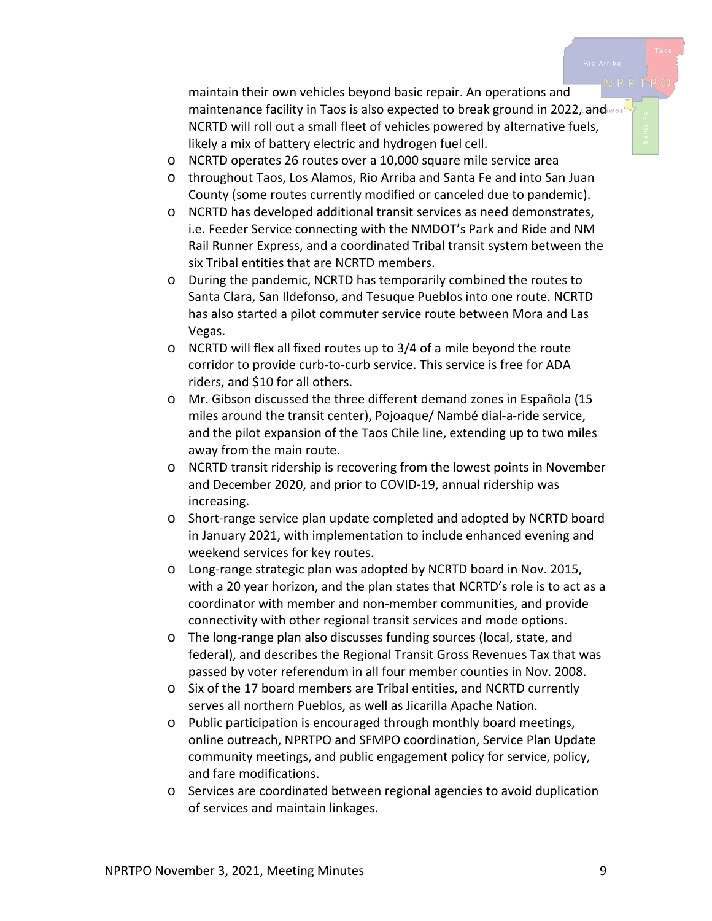maintain their own vehicles beyond basic repair. An operations and maintenance facility in Taos is also expected to break ground in 2022, and most NCRTD will roll out a small fleet of vehicles powered by alternative fuels, likely a mix of battery electric and hydrogen fuel cell.

- o NCRTD operates 26 routes over a 10,000 square mile service area
- o throughout Taos, Los Alamos, Rio Arriba and Santa Fe and into San Juan County (some routes currently modified or canceled due to pandemic).
- o NCRTD has developed additional transit services as need demonstrates, i.e. Feeder Service connecting with the NMDOT's Park and Ride and NM Rail Runner Express, and a coordinated Tribal transit system between the six Tribal entities that are NCRTD members.
- o During the pandemic, NCRTD has temporarily combined the routes to Santa Clara, San Ildefonso, and Tesuque Pueblos into one route. NCRTD has also started a pilot commuter service route between Mora and Las Vegas.
- o NCRTD will flex all fixed routes up to 3/4 of a mile beyond the route corridor to provide curb-to-curb service. This service is free for ADA riders, and \$10 for all others.
- o Mr. Gibson discussed the three different demand zones in Española (15 miles around the transit center), Pojoaque/ Nambé dial-a-ride service, and the pilot expansion of the Taos Chile line, extending up to two miles away from the main route.
- o NCRTD transit ridership is recovering from the lowest points in November and December 2020, and prior to COVID-19, annual ridership was increasing.
- o Short-range service plan update completed and adopted by NCRTD board in January 2021, with implementation to include enhanced evening and weekend services for key routes.
- o Long-range strategic plan was adopted by NCRTD board in Nov. 2015, with a 20 year horizon, and the plan states that NCRTD's role is to act as a coordinator with member and non-member communities, and provide connectivity with other regional transit services and mode options.
- o The long-range plan also discusses funding sources (local, state, and federal), and describes the Regional Transit Gross Revenues Tax that was passed by voter referendum in all four member counties in Nov. 2008.
- o Six of the 17 board members are Tribal entities, and NCRTD currently serves all northern Pueblos, as well as Jicarilla Apache Nation.
- o Public participation is encouraged through monthly board meetings, online outreach, NPRTPO and SFMPO coordination, Service Plan Update community meetings, and public engagement policy for service, policy, and fare modifications.
- o Services are coordinated between regional agencies to avoid duplication of services and maintain linkages.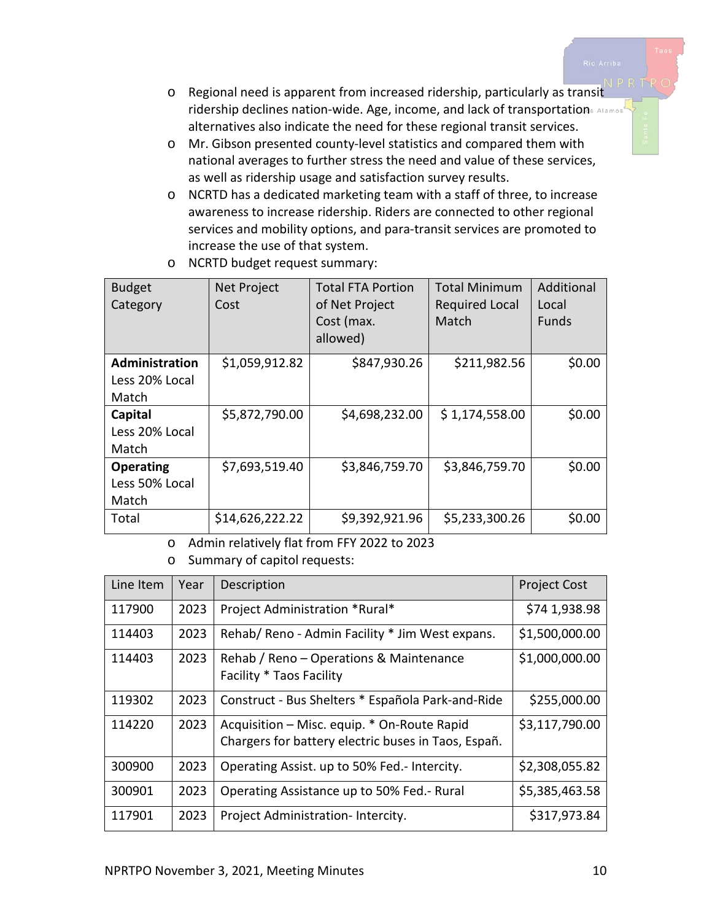- o Regional need is apparent from increased ridership, particularly as transit ridership declines nation-wide. Age, income, and lack of transportations Alamos alternatives also indicate the need for these regional transit services.
- o Mr. Gibson presented county-level statistics and compared them with national averages to further stress the need and value of these services, as well as ridership usage and satisfaction survey results.
- o NCRTD has a dedicated marketing team with a staff of three, to increase awareness to increase ridership. Riders are connected to other regional services and mobility options, and para-transit services are promoted to increase the use of that system.

| <b>Budget</b><br>Category                   | Net Project<br>Cost | <b>Total FTA Portion</b><br>of Net Project<br>Cost (max.<br>allowed) | <b>Total Minimum</b><br><b>Required Local</b><br>Match | Additional<br>Local<br><b>Funds</b> |
|---------------------------------------------|---------------------|----------------------------------------------------------------------|--------------------------------------------------------|-------------------------------------|
| Administration<br>Less 20% Local<br>Match   | \$1,059,912.82      | \$847,930.26                                                         | \$211,982.56                                           | \$0.00                              |
| Capital<br>Less 20% Local<br>Match          | \$5,872,790.00      | \$4,698,232.00                                                       | \$1,174,558.00                                         | \$0.00                              |
| <b>Operating</b><br>Less 50% Local<br>Match | \$7,693,519.40      | \$3,846,759.70                                                       | \$3,846,759.70                                         | \$0.00                              |
| Total                                       | \$14,626,222.22     | \$9,392,921.96                                                       | \$5,233,300.26                                         | \$0.00                              |

o NCRTD budget request summary:

o Admin relatively flat from FFY 2022 to 2023

o Summary of capitol requests:

| Line Item | Year | Description                                                                                        | <b>Project Cost</b> |
|-----------|------|----------------------------------------------------------------------------------------------------|---------------------|
| 117900    | 2023 | Project Administration *Rural*                                                                     | \$74 1,938.98       |
| 114403    | 2023 | Rehab/ Reno - Admin Facility * Jim West expans.                                                    | \$1,500,000.00      |
| 114403    | 2023 | Rehab / Reno – Operations & Maintenance<br>Facility * Taos Facility                                | \$1,000,000.00      |
| 119302    | 2023 | Construct - Bus Shelters * Española Park-and-Ride                                                  | \$255,000.00        |
| 114220    | 2023 | Acquisition - Misc. equip. * On-Route Rapid<br>Chargers for battery electric buses in Taos, Españ. | \$3,117,790.00      |
| 300900    | 2023 | Operating Assist. up to 50% Fed.- Intercity.                                                       | \$2,308,055.82      |
| 300901    | 2023 | Operating Assistance up to 50% Fed.- Rural                                                         | \$5,385,463.58      |
| 117901    | 2023 | Project Administration-Intercity.                                                                  | \$317,973.84        |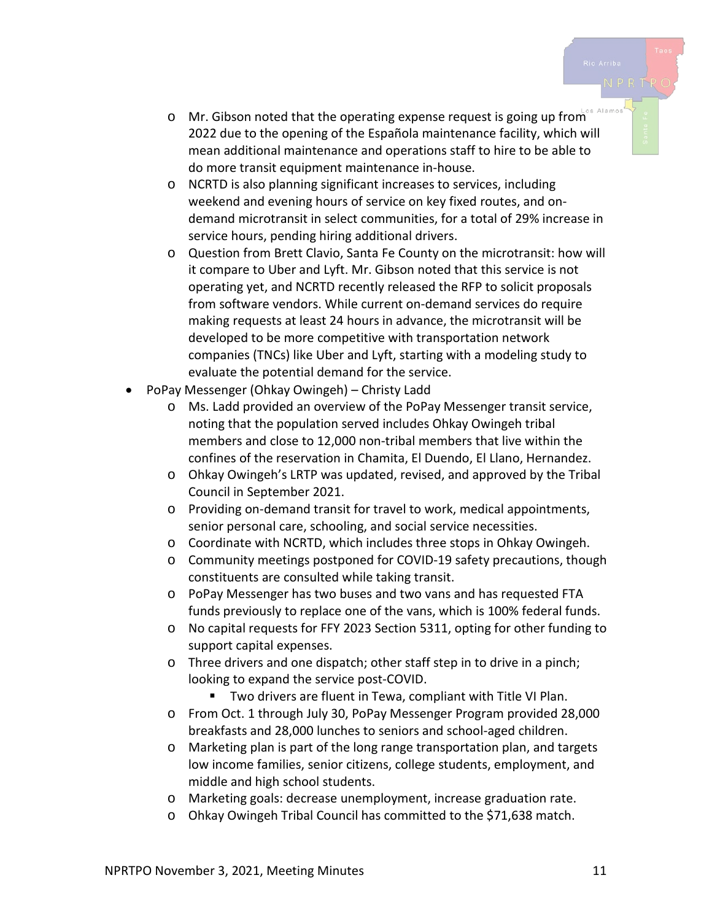- $\circ$  Mr. Gibson noted that the operating expense request is going up from 2022 due to the opening of the Española maintenance facility, which will mean additional maintenance and operations staff to hire to be able to do more transit equipment maintenance in-house.
- o NCRTD is also planning significant increases to services, including weekend and evening hours of service on key fixed routes, and ondemand microtransit in select communities, for a total of 29% increase in service hours, pending hiring additional drivers.
- o Question from Brett Clavio, Santa Fe County on the microtransit: how will it compare to Uber and Lyft. Mr. Gibson noted that this service is not operating yet, and NCRTD recently released the RFP to solicit proposals from software vendors. While current on-demand services do require making requests at least 24 hours in advance, the microtransit will be developed to be more competitive with transportation network companies (TNCs) like Uber and Lyft, starting with a modeling study to evaluate the potential demand for the service.
- PoPay Messenger (Ohkay Owingeh) Christy Ladd
	- o Ms. Ladd provided an overview of the PoPay Messenger transit service, noting that the population served includes Ohkay Owingeh tribal members and close to 12,000 non-tribal members that live within the confines of the reservation in Chamita, El Duendo, El Llano, Hernandez.
	- o Ohkay Owingeh's LRTP was updated, revised, and approved by the Tribal Council in September 2021.
	- o Providing on-demand transit for travel to work, medical appointments, senior personal care, schooling, and social service necessities.
	- o Coordinate with NCRTD, which includes three stops in Ohkay Owingeh.
	- o Community meetings postponed for COVID-19 safety precautions, though constituents are consulted while taking transit.
	- o PoPay Messenger has two buses and two vans and has requested FTA funds previously to replace one of the vans, which is 100% federal funds.
	- o No capital requests for FFY 2023 Section 5311, opting for other funding to support capital expenses.
	- o Three drivers and one dispatch; other staff step in to drive in a pinch; looking to expand the service post-COVID.
		- Two drivers are fluent in Tewa, compliant with Title VI Plan.
	- o From Oct. 1 through July 30, PoPay Messenger Program provided 28,000 breakfasts and 28,000 lunches to seniors and school-aged children.
	- o Marketing plan is part of the long range transportation plan, and targets low income families, senior citizens, college students, employment, and middle and high school students.
	- o Marketing goals: decrease unemployment, increase graduation rate.
	- o Ohkay Owingeh Tribal Council has committed to the \$71,638 match.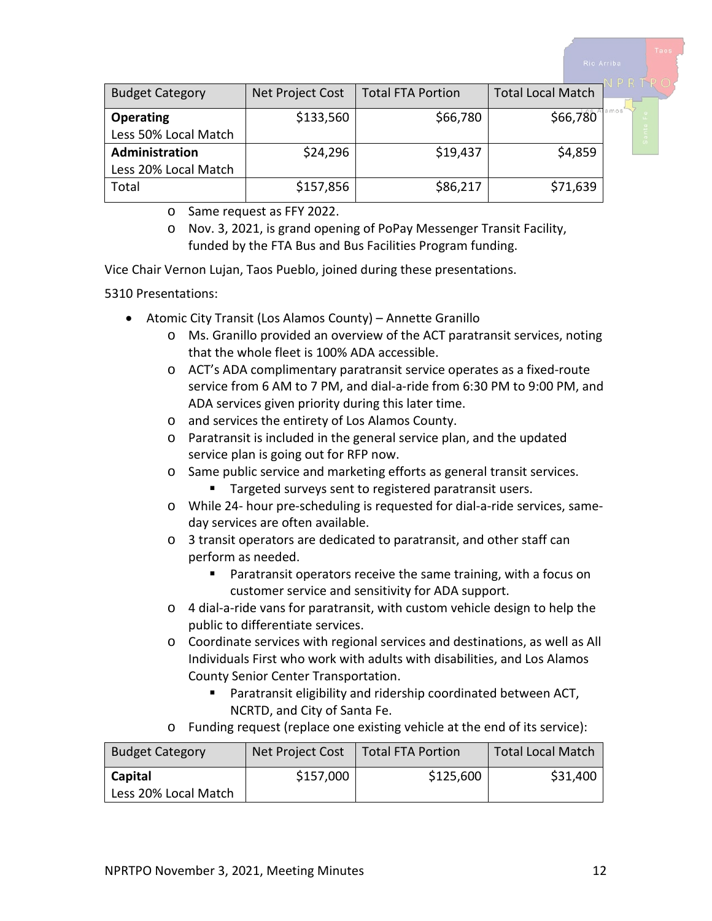| <b>Budget Category</b> | Net Project Cost | <b>Total FTA Portion</b> | <b>Total Local Match</b> |  |
|------------------------|------------------|--------------------------|--------------------------|--|
| <b>Operating</b>       | \$133,560        | \$66,780                 | $$66,780^\circ$          |  |
| Less 50% Local Match   |                  |                          |                          |  |
| Administration         | \$24,296         | \$19,437                 | \$4,859                  |  |
| Less 20% Local Match   |                  |                          |                          |  |
| Total                  | \$157,856        | \$86,217                 | \$71,639                 |  |

o Same request as FFY 2022.

Vice Chair Vernon Lujan, Taos Pueblo, joined during these presentations.

5310 Presentations:

- Atomic City Transit (Los Alamos County) Annette Granillo
	- o Ms. Granillo provided an overview of the ACT paratransit services, noting that the whole fleet is 100% ADA accessible.
	- o ACT's ADA complimentary paratransit service operates as a fixed-route service from 6 AM to 7 PM, and dial-a-ride from 6:30 PM to 9:00 PM, and ADA services given priority during this later time.
	- o and services the entirety of Los Alamos County.
	- o Paratransit is included in the general service plan, and the updated service plan is going out for RFP now.
	- o Same public service and marketing efforts as general transit services.
		- **Targeted surveys sent to registered paratransit users.**
	- o While 24- hour pre-scheduling is requested for dial-a-ride services, sameday services are often available.
	- o 3 transit operators are dedicated to paratransit, and other staff can perform as needed.
		- Paratransit operators receive the same training, with a focus on customer service and sensitivity for ADA support.
	- o 4 dial-a-ride vans for paratransit, with custom vehicle design to help the public to differentiate services.
	- o Coordinate services with regional services and destinations, as well as All Individuals First who work with adults with disabilities, and Los Alamos County Senior Center Transportation.
		- Paratransit eligibility and ridership coordinated between ACT, NCRTD, and City of Santa Fe.
	- o Funding request (replace one existing vehicle at the end of its service):

| <b>Budget Category</b> | Net Project Cost | <b>Total FTA Portion</b> | <b>Total Local Match</b> |
|------------------------|------------------|--------------------------|--------------------------|
| Capital                | \$157,000        | \$125,600                | \$31,400                 |
| Less 20% Local Match   |                  |                          |                          |

o Nov. 3, 2021, is grand opening of PoPay Messenger Transit Facility, funded by the FTA Bus and Bus Facilities Program funding.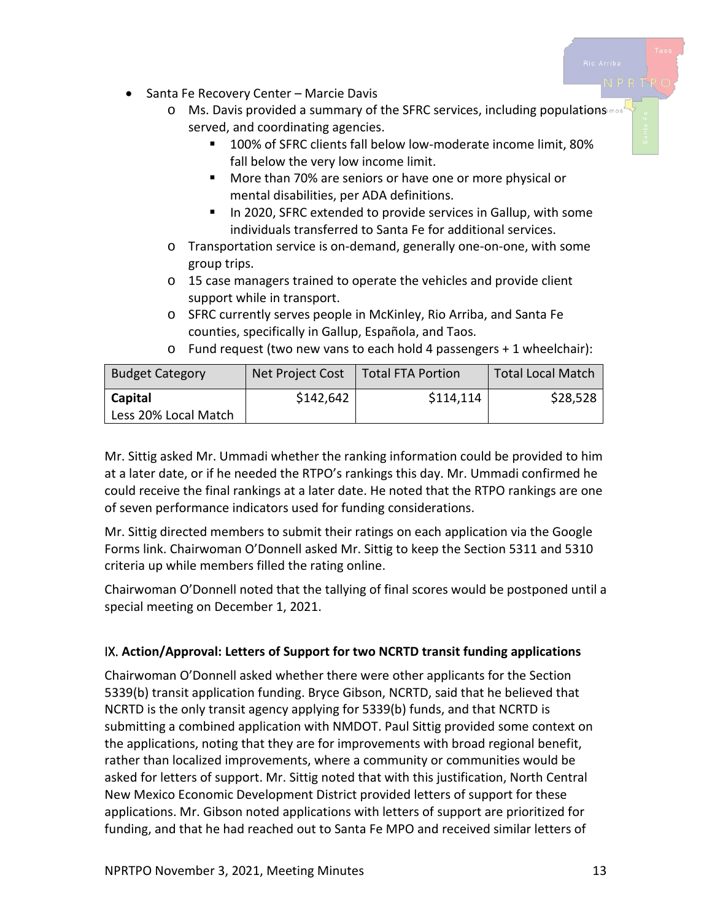- Santa Fe Recovery Center Marcie Davis
	- o Ms. Davis provided a summary of the SFRC services, including populations served, and coordinating agencies.
		- 100% of SFRC clients fall below low-moderate income limit, 80% fall below the very low income limit.
		- **More than 70% are seniors or have one or more physical or** mental disabilities, per ADA definitions.
		- In 2020, SFRC extended to provide services in Gallup, with some individuals transferred to Santa Fe for additional services.
	- o Transportation service is on-demand, generally one-on-one, with some group trips.
	- o 15 case managers trained to operate the vehicles and provide client support while in transport.
	- o SFRC currently serves people in McKinley, Rio Arriba, and Santa Fe counties, specifically in Gallup, Española, and Taos.

| <b>Budget Category</b> | Net Project Cost | <b>Total FTA Portion</b> | <b>Total Local Match</b> |
|------------------------|------------------|--------------------------|--------------------------|
| Capital                | \$142,642        | \$114,114                | \$28,528                 |
| Less 20% Local Match   |                  |                          |                          |

o Fund request (two new vans to each hold 4 passengers + 1 wheelchair):

Mr. Sittig asked Mr. Ummadi whether the ranking information could be provided to him at a later date, or if he needed the RTPO's rankings this day. Mr. Ummadi confirmed he could receive the final rankings at a later date. He noted that the RTPO rankings are one of seven performance indicators used for funding considerations.

Mr. Sittig directed members to submit their ratings on each application via the Google Forms link. Chairwoman O'Donnell asked Mr. Sittig to keep the Section 5311 and 5310 criteria up while members filled the rating online.

Chairwoman O'Donnell noted that the tallying of final scores would be postponed until a special meeting on December 1, 2021.

# IX. **Action/Approval: Letters of Support for two NCRTD transit funding applications**

Chairwoman O'Donnell asked whether there were other applicants for the Section 5339(b) transit application funding. Bryce Gibson, NCRTD, said that he believed that NCRTD is the only transit agency applying for 5339(b) funds, and that NCRTD is submitting a combined application with NMDOT. Paul Sittig provided some context on the applications, noting that they are for improvements with broad regional benefit, rather than localized improvements, where a community or communities would be asked for letters of support. Mr. Sittig noted that with this justification, North Central New Mexico Economic Development District provided letters of support for these applications. Mr. Gibson noted applications with letters of support are prioritized for funding, and that he had reached out to Santa Fe MPO and received similar letters of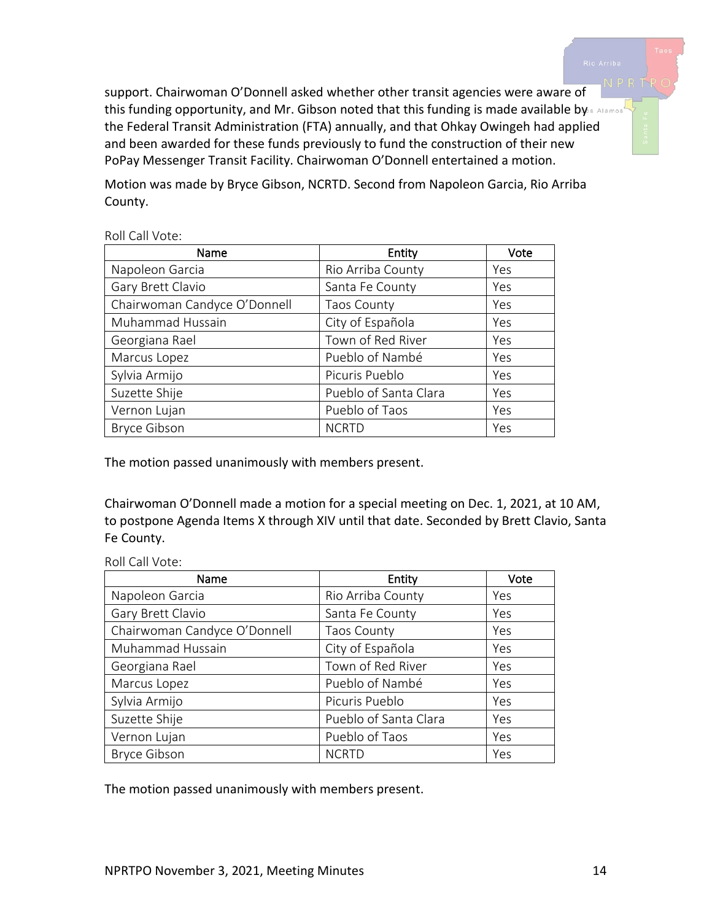

support. Chairwoman O'Donnell asked whether other transit agencies were aware of this funding opportunity, and Mr. Gibson noted that this funding is made available by a Alamos' the Federal Transit Administration (FTA) annually, and that Ohkay Owingeh had applied and been awarded for these funds previously to fund the construction of their new PoPay Messenger Transit Facility. Chairwoman O'Donnell entertained a motion.

Motion was made by Bryce Gibson, NCRTD. Second from Napoleon Garcia, Rio Arriba County.

#### Roll Call Vote:

| Name                         | Entity                | Vote |
|------------------------------|-----------------------|------|
| Napoleon Garcia              | Rio Arriba County     | Yes  |
| Gary Brett Clavio            | Santa Fe County       | Yes  |
| Chairwoman Candyce O'Donnell | <b>Taos County</b>    | Yes  |
| Muhammad Hussain             | City of Española      | Yes  |
| Georgiana Rael               | Town of Red River     | Yes  |
| Marcus Lopez                 | Pueblo of Nambé       | Yes  |
| Sylvia Armijo                | Picuris Pueblo        | Yes  |
| Suzette Shije                | Pueblo of Santa Clara | Yes  |
| Vernon Lujan                 | Pueblo of Taos        | Yes  |
| <b>Bryce Gibson</b>          | <b>NCRTD</b>          | Yes  |

The motion passed unanimously with members present.

Chairwoman O'Donnell made a motion for a special meeting on Dec. 1, 2021, at 10 AM, to postpone Agenda Items X through XIV until that date. Seconded by Brett Clavio, Santa Fe County.

|  | Roll Call Vote: |
|--|-----------------|
|  |                 |

| Name                         | Entity                | Vote       |
|------------------------------|-----------------------|------------|
| Napoleon Garcia              | Rio Arriba County     | Yes        |
| Gary Brett Clavio            | Santa Fe County       | Yes        |
| Chairwoman Candyce O'Donnell | <b>Taos County</b>    | Yes        |
| Muhammad Hussain             | City of Española      | Yes        |
| Georgiana Rael               | Town of Red River     | Yes        |
| Marcus Lopez                 | Pueblo of Nambé       | Yes        |
| Sylvia Armijo                | Picuris Pueblo        | Yes        |
| Suzette Shije                | Pueblo of Santa Clara | <b>Yes</b> |
| Vernon Lujan                 | Pueblo of Taos        | Yes        |
| <b>Bryce Gibson</b>          | <b>NCRTD</b>          | Yes        |

The motion passed unanimously with members present.